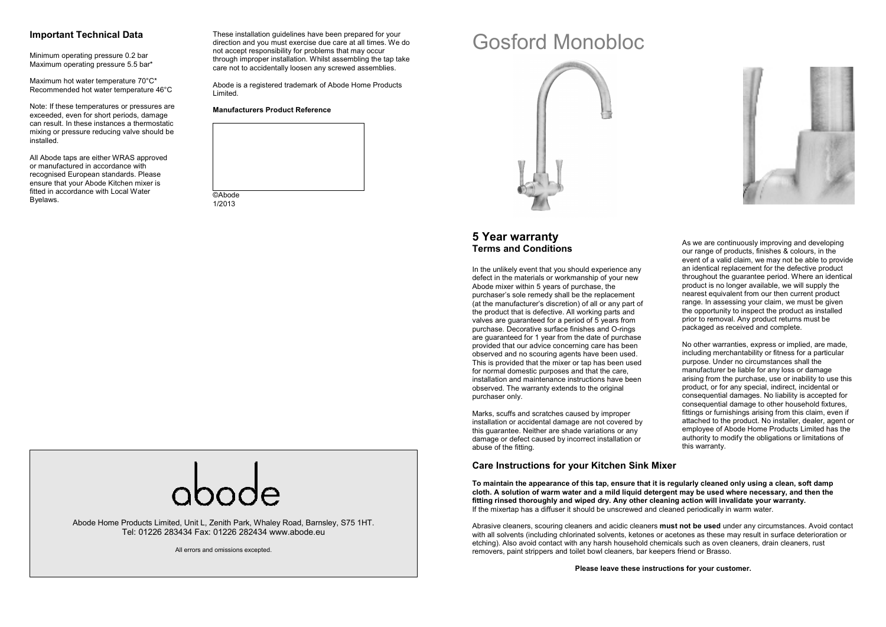#### **Important Technical Data**

Minimum operating pressure 0.2 bar Maximum operating pressure 5.5 bar\*

Maximum hot water temperature 70°C\* Recommended hot water temperature 46°C

Note: If these temperatures or pressures are exceeded, even for short periods, damage can result. In these instances a thermostatic mixing or pressure reducing valve should be installed.

All Abode taps are either WRAS approved or manufactured in accordance with recognised European standards. Please ensure that your Abode Kitchen mixer is fitted in accordance with Local Water Byelaws.

These installation guidelines have been prepared for your direction and you must exercise due care at all times. We do not accept responsibility for problems that may occur through improper installation. Whilst assembling the tap take care not to accidentally loosen any screwed assemblies.

Abode is a registered trademark of Abode Home Products Limited.

**Manufacturers Product Reference** 



# Gosford Monobloc





## **5 Year warranty Terms and Conditions**

In the unlikely event that you should experience any defect in the materials or workmanship of your new Abode mixer within 5 years of purchase, the purchaser's sole remedy shall be the replacement (at the manufacturer's discretion) of all or any part of the product that is defective. All working parts and valves are guaranteed for a period of 5 years from purchase. Decorative surface finishes and O-rings are guaranteed for 1 year from the date of purchase provided that our advice concerning care has been observed and no scouring agents have been used. This is provided that the mixer or tap has been used for normal domestic purposes and that the care, installation and maintenance instructions have beenobserved. The warranty extends to the original purchaser only.

Marks, scuffs and scratches caused by improper installation or accidental damage are not covered by this guarantee. Neither are shade variations or any damage or defect caused by incorrect installation or abuse of the fitting.

#### **Care Instructions for your Kitchen Sink Mixer**

As we are continuously improving and developing our range of products, finishes & colours, in the event of a valid claim, we may not be able to provide an identical replacement for the defective product throughout the guarantee period. Where an identicalproduct is no longer available, we will supply the nearest equivalent from our then current product range. In assessing your claim, we must be given the opportunity to inspect the product as installedprior to removal. Any product returns must be packaged as received and complete.

No other warranties, express or implied, are made, including merchantability or fitness for a particular purpose. Under no circumstances shall the manufacturer be liable for any loss or damage arising from the purchase, use or inability to use this product, or for any special, indirect, incidental or consequential damages. No liability is accepted for consequential damage to other household fixtures, fittings or furnishings arising from this claim, even if attached to the product. No installer, dealer, agent or employee of Abode Home Products Limited has the authority to modify the obligations or limitations of this warranty.



Abode Home Products Limited, Unit L, Zenith Park, Whaley Road, Barnsley, S75 1HT. Tel: 01226 283434 Fax: 01226 282434 www.abode.eu

All errors and omissions excepted.

 **cloth. A solution of warm water and a mild liquid detergent may be used where necessary, and then the fitting rinsed thoroughly and wiped dry. Any other cleaning action will invalidate your warranty.** If the mixertap has a diffuser it should be unscrewed and cleaned periodically in warm water.

**To maintain the appearance of this tap, ensure that it is regularly cleaned only using a clean, soft damp** 

Abrasive cleaners, scouring cleaners and acidic cleaners **must not be used** under any circumstances. Avoid contact with all solvents (including chlorinated solvents, ketones or acetones as these may result in surface deterioration or etching). Also avoid contact with any harsh household chemicals such as oven cleaners, drain cleaners, rust removers, paint strippers and toilet bowl cleaners, bar keepers friend or Brasso.

**Please leave these instructions for your customer.**